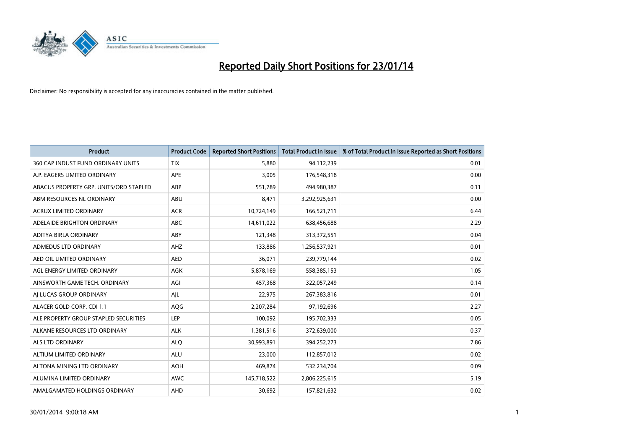

| <b>Product</b>                         | <b>Product Code</b> | <b>Reported Short Positions</b> | <b>Total Product in Issue</b> | % of Total Product in Issue Reported as Short Positions |
|----------------------------------------|---------------------|---------------------------------|-------------------------------|---------------------------------------------------------|
| 360 CAP INDUST FUND ORDINARY UNITS     | <b>TIX</b>          | 5,880                           | 94,112,239                    | 0.01                                                    |
| A.P. EAGERS LIMITED ORDINARY           | APE                 | 3,005                           | 176,548,318                   | 0.00                                                    |
| ABACUS PROPERTY GRP. UNITS/ORD STAPLED | ABP                 | 551,789                         | 494,980,387                   | 0.11                                                    |
| ABM RESOURCES NL ORDINARY              | ABU                 | 8,471                           | 3,292,925,631                 | 0.00                                                    |
| <b>ACRUX LIMITED ORDINARY</b>          | <b>ACR</b>          | 10,724,149                      | 166,521,711                   | 6.44                                                    |
| ADELAIDE BRIGHTON ORDINARY             | ABC                 | 14,611,022                      | 638,456,688                   | 2.29                                                    |
| ADITYA BIRLA ORDINARY                  | ABY                 | 121,348                         | 313,372,551                   | 0.04                                                    |
| ADMEDUS LTD ORDINARY                   | AHZ                 | 133,886                         | 1,256,537,921                 | 0.01                                                    |
| AED OIL LIMITED ORDINARY               | <b>AED</b>          | 36,071                          | 239,779,144                   | 0.02                                                    |
| AGL ENERGY LIMITED ORDINARY            | AGK                 | 5,878,169                       | 558,385,153                   | 1.05                                                    |
| AINSWORTH GAME TECH. ORDINARY          | AGI                 | 457,368                         | 322,057,249                   | 0.14                                                    |
| AI LUCAS GROUP ORDINARY                | AJL                 | 22,975                          | 267,383,816                   | 0.01                                                    |
| ALACER GOLD CORP. CDI 1:1              | AQG                 | 2,207,284                       | 97,192,696                    | 2.27                                                    |
| ALE PROPERTY GROUP STAPLED SECURITIES  | LEP                 | 100,092                         | 195,702,333                   | 0.05                                                    |
| ALKANE RESOURCES LTD ORDINARY          | <b>ALK</b>          | 1,381,516                       | 372,639,000                   | 0.37                                                    |
| ALS LTD ORDINARY                       | <b>ALQ</b>          | 30,993,891                      | 394,252,273                   | 7.86                                                    |
| ALTIUM LIMITED ORDINARY                | <b>ALU</b>          | 23,000                          | 112,857,012                   | 0.02                                                    |
| ALTONA MINING LTD ORDINARY             | <b>AOH</b>          | 469,874                         | 532,234,704                   | 0.09                                                    |
| ALUMINA LIMITED ORDINARY               | <b>AWC</b>          | 145,718,522                     | 2,806,225,615                 | 5.19                                                    |
| AMALGAMATED HOLDINGS ORDINARY          | AHD                 | 30,692                          | 157,821,632                   | 0.02                                                    |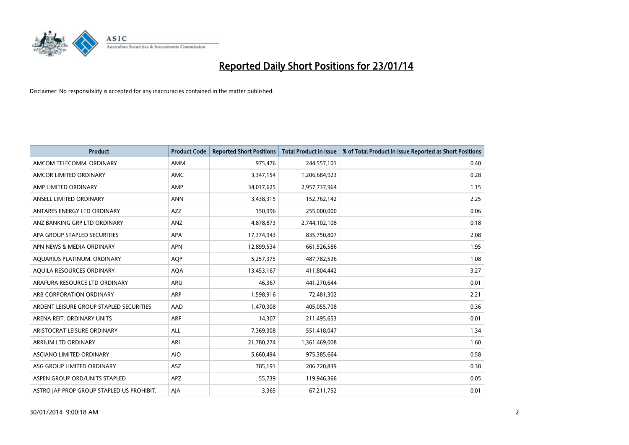

| <b>Product</b>                            | <b>Product Code</b> | <b>Reported Short Positions</b> | <b>Total Product in Issue</b> | % of Total Product in Issue Reported as Short Positions |
|-------------------------------------------|---------------------|---------------------------------|-------------------------------|---------------------------------------------------------|
| AMCOM TELECOMM, ORDINARY                  | <b>AMM</b>          | 975,476                         | 244,557,101                   | 0.40                                                    |
| AMCOR LIMITED ORDINARY                    | AMC                 | 3,347,154                       | 1,206,684,923                 | 0.28                                                    |
| AMP LIMITED ORDINARY                      | AMP                 | 34,017,625                      | 2,957,737,964                 | 1.15                                                    |
| ANSELL LIMITED ORDINARY                   | <b>ANN</b>          | 3,438,315                       | 152,762,142                   | 2.25                                                    |
| ANTARES ENERGY LTD ORDINARY               | AZZ                 | 150,996                         | 255,000,000                   | 0.06                                                    |
| ANZ BANKING GRP LTD ORDINARY              | ANZ                 | 4,878,873                       | 2,744,102,108                 | 0.18                                                    |
| APA GROUP STAPLED SECURITIES              | APA                 | 17,374,943                      | 835,750,807                   | 2.08                                                    |
| APN NEWS & MEDIA ORDINARY                 | <b>APN</b>          | 12,899,534                      | 661,526,586                   | 1.95                                                    |
| AQUARIUS PLATINUM. ORDINARY               | <b>AOP</b>          | 5,257,375                       | 487,782,536                   | 1.08                                                    |
| AQUILA RESOURCES ORDINARY                 | <b>AQA</b>          | 13,453,167                      | 411,804,442                   | 3.27                                                    |
| ARAFURA RESOURCE LTD ORDINARY             | ARU                 | 46,367                          | 441,270,644                   | 0.01                                                    |
| ARB CORPORATION ORDINARY                  | <b>ARP</b>          | 1,598,916                       | 72,481,302                    | 2.21                                                    |
| ARDENT LEISURE GROUP STAPLED SECURITIES   | AAD                 | 1,470,308                       | 405,055,708                   | 0.36                                                    |
| ARENA REIT. ORDINARY UNITS                | ARF                 | 14,307                          | 211,495,653                   | 0.01                                                    |
| ARISTOCRAT LEISURE ORDINARY               | <b>ALL</b>          | 7,369,308                       | 551,418,047                   | 1.34                                                    |
| ARRIUM LTD ORDINARY                       | ARI                 | 21,780,274                      | 1,361,469,008                 | 1.60                                                    |
| ASCIANO LIMITED ORDINARY                  | <b>AIO</b>          | 5,660,494                       | 975,385,664                   | 0.58                                                    |
| ASG GROUP LIMITED ORDINARY                | <b>ASZ</b>          | 785,191                         | 206,720,839                   | 0.38                                                    |
| ASPEN GROUP ORD/UNITS STAPLED             | <b>APZ</b>          | 55,739                          | 119,946,366                   | 0.05                                                    |
| ASTRO JAP PROP GROUP STAPLED US PROHIBIT. | AJA                 | 3,365                           | 67,211,752                    | 0.01                                                    |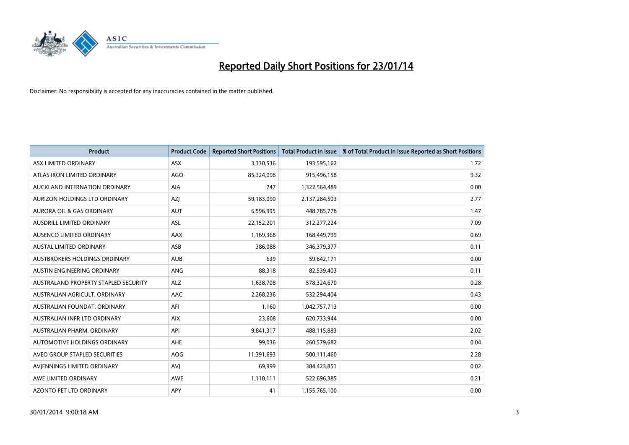

| <b>Product</b>                       | <b>Product Code</b> | <b>Reported Short Positions</b> | <b>Total Product in Issue</b> | % of Total Product in Issue Reported as Short Positions |
|--------------------------------------|---------------------|---------------------------------|-------------------------------|---------------------------------------------------------|
| ASX LIMITED ORDINARY                 | ASX                 | 3,330,536                       | 193,595,162                   | 1.72                                                    |
| ATLAS IRON LIMITED ORDINARY          | <b>AGO</b>          | 85,324,098                      | 915,496,158                   | 9.32                                                    |
| AUCKLAND INTERNATION ORDINARY        | AIA                 | 747                             | 1,322,564,489                 | 0.00                                                    |
| AURIZON HOLDINGS LTD ORDINARY        | AZJ                 | 59,183,090                      | 2,137,284,503                 | 2.77                                                    |
| <b>AURORA OIL &amp; GAS ORDINARY</b> | <b>AUT</b>          | 6,596,995                       | 448,785,778                   | 1.47                                                    |
| AUSDRILL LIMITED ORDINARY            | ASL                 | 22,152,201                      | 312,277,224                   | 7.09                                                    |
| AUSENCO LIMITED ORDINARY             | AAX                 | 1,169,368                       | 168,449,799                   | 0.69                                                    |
| AUSTAL LIMITED ORDINARY              | ASB                 | 386,088                         | 346,379,377                   | 0.11                                                    |
| AUSTBROKERS HOLDINGS ORDINARY        | <b>AUB</b>          | 639                             | 59,642,171                    | 0.00                                                    |
| AUSTIN ENGINEERING ORDINARY          | ANG                 | 88,318                          | 82,539,403                    | 0.11                                                    |
| AUSTRALAND PROPERTY STAPLED SECURITY | <b>ALZ</b>          | 1,638,708                       | 578,324,670                   | 0.28                                                    |
| AUSTRALIAN AGRICULT, ORDINARY        | AAC                 | 2,268,236                       | 532,294,404                   | 0.43                                                    |
| AUSTRALIAN FOUNDAT. ORDINARY         | AFI                 | 1,160                           | 1,042,757,713                 | 0.00                                                    |
| AUSTRALIAN INFR LTD ORDINARY         | <b>AIX</b>          | 23,608                          | 620,733,944                   | 0.00                                                    |
| AUSTRALIAN PHARM, ORDINARY           | API                 | 9,841,317                       | 488,115,883                   | 2.02                                                    |
| AUTOMOTIVE HOLDINGS ORDINARY         | AHE                 | 99,036                          | 260,579,682                   | 0.04                                                    |
| AVEO GROUP STAPLED SECURITIES        | AOG                 | 11,391,693                      | 500,111,460                   | 2.28                                                    |
| AVIENNINGS LIMITED ORDINARY          | <b>AVJ</b>          | 69,999                          | 384,423,851                   | 0.02                                                    |
| AWE LIMITED ORDINARY                 | <b>AWE</b>          | 1,110,111                       | 522,696,385                   | 0.21                                                    |
| AZONTO PET LTD ORDINARY              | APY                 | 41                              | 1,155,765,100                 | 0.00                                                    |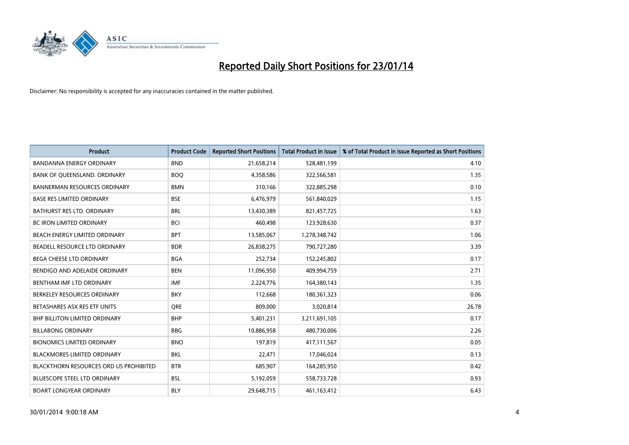

| <b>Product</b>                         | <b>Product Code</b> | <b>Reported Short Positions</b> | <b>Total Product in Issue</b> | % of Total Product in Issue Reported as Short Positions |
|----------------------------------------|---------------------|---------------------------------|-------------------------------|---------------------------------------------------------|
| <b>BANDANNA ENERGY ORDINARY</b>        | <b>BND</b>          | 21,658,214                      | 528,481,199                   | 4.10                                                    |
| BANK OF QUEENSLAND. ORDINARY           | <b>BOQ</b>          | 4,358,586                       | 322,566,581                   | 1.35                                                    |
| <b>BANNERMAN RESOURCES ORDINARY</b>    | <b>BMN</b>          | 310,166                         | 322,885,298                   | 0.10                                                    |
| <b>BASE RES LIMITED ORDINARY</b>       | <b>BSE</b>          | 6,476,979                       | 561,840,029                   | 1.15                                                    |
| <b>BATHURST RES LTD. ORDINARY</b>      | <b>BRL</b>          | 13,430,389                      | 821,457,725                   | 1.63                                                    |
| <b>BC IRON LIMITED ORDINARY</b>        | <b>BCI</b>          | 460.498                         | 123,928,630                   | 0.37                                                    |
| <b>BEACH ENERGY LIMITED ORDINARY</b>   | <b>BPT</b>          | 13,585,067                      | 1,278,348,742                 | 1.06                                                    |
| BEADELL RESOURCE LTD ORDINARY          | <b>BDR</b>          | 26,838,275                      | 790,727,280                   | 3.39                                                    |
| BEGA CHEESE LTD ORDINARY               | <b>BGA</b>          | 252,734                         | 152,245,802                   | 0.17                                                    |
| BENDIGO AND ADELAIDE ORDINARY          | <b>BEN</b>          | 11,096,950                      | 409,994,759                   | 2.71                                                    |
| BENTHAM IMF LTD ORDINARY               | IMF                 | 2,224,776                       | 164,380,143                   | 1.35                                                    |
| BERKELEY RESOURCES ORDINARY            | <b>BKY</b>          | 112,668                         | 180,361,323                   | 0.06                                                    |
| BETASHARES ASX RES ETF UNITS           | <b>ORE</b>          | 809,000                         | 3,020,814                     | 26.78                                                   |
| <b>BHP BILLITON LIMITED ORDINARY</b>   | <b>BHP</b>          | 5,401,231                       | 3,211,691,105                 | 0.17                                                    |
| <b>BILLABONG ORDINARY</b>              | <b>BBG</b>          | 10,886,958                      | 480,730,006                   | 2.26                                                    |
| <b>BIONOMICS LIMITED ORDINARY</b>      | <b>BNO</b>          | 197.819                         | 417,111,567                   | 0.05                                                    |
| <b>BLACKMORES LIMITED ORDINARY</b>     | <b>BKL</b>          | 22,471                          | 17,046,024                    | 0.13                                                    |
| BLACKTHORN RESOURCES ORD US PROHIBITED | <b>BTR</b>          | 685,907                         | 164,285,950                   | 0.42                                                    |
| <b>BLUESCOPE STEEL LTD ORDINARY</b>    | <b>BSL</b>          | 5,192,059                       | 558,733,728                   | 0.93                                                    |
| <b>BOART LONGYEAR ORDINARY</b>         | <b>BLY</b>          | 29,648,715                      | 461,163,412                   | 6.43                                                    |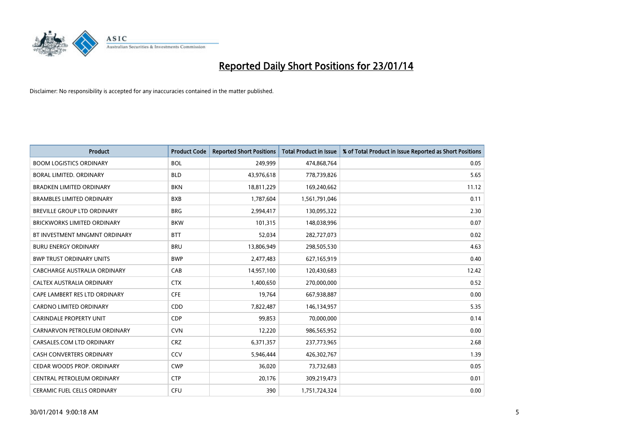

| <b>Product</b>                     | <b>Product Code</b> | <b>Reported Short Positions</b> | <b>Total Product in Issue</b> | % of Total Product in Issue Reported as Short Positions |
|------------------------------------|---------------------|---------------------------------|-------------------------------|---------------------------------------------------------|
| <b>BOOM LOGISTICS ORDINARY</b>     | <b>BOL</b>          | 249,999                         | 474,868,764                   | 0.05                                                    |
| BORAL LIMITED. ORDINARY            | <b>BLD</b>          | 43,976,618                      | 778,739,826                   | 5.65                                                    |
| <b>BRADKEN LIMITED ORDINARY</b>    | <b>BKN</b>          | 18,811,229                      | 169,240,662                   | 11.12                                                   |
| <b>BRAMBLES LIMITED ORDINARY</b>   | <b>BXB</b>          | 1,787,604                       | 1,561,791,046                 | 0.11                                                    |
| BREVILLE GROUP LTD ORDINARY        | <b>BRG</b>          | 2,994,417                       | 130,095,322                   | 2.30                                                    |
| <b>BRICKWORKS LIMITED ORDINARY</b> | <b>BKW</b>          | 101,315                         | 148,038,996                   | 0.07                                                    |
| BT INVESTMENT MNGMNT ORDINARY      | <b>BTT</b>          | 52,034                          | 282,727,073                   | 0.02                                                    |
| <b>BURU ENERGY ORDINARY</b>        | <b>BRU</b>          | 13,806,949                      | 298,505,530                   | 4.63                                                    |
| <b>BWP TRUST ORDINARY UNITS</b>    | <b>BWP</b>          | 2,477,483                       | 627,165,919                   | 0.40                                                    |
| CABCHARGE AUSTRALIA ORDINARY       | CAB                 | 14,957,100                      | 120,430,683                   | 12.42                                                   |
| CALTEX AUSTRALIA ORDINARY          | <b>CTX</b>          | 1,400,650                       | 270,000,000                   | 0.52                                                    |
| CAPE LAMBERT RES LTD ORDINARY      | <b>CFE</b>          | 19,764                          | 667,938,887                   | 0.00                                                    |
| CARDNO LIMITED ORDINARY            | CDD                 | 7,822,487                       | 146,134,957                   | 5.35                                                    |
| <b>CARINDALE PROPERTY UNIT</b>     | <b>CDP</b>          | 99,853                          | 70,000,000                    | 0.14                                                    |
| CARNARVON PETROLEUM ORDINARY       | <b>CVN</b>          | 12,220                          | 986,565,952                   | 0.00                                                    |
| CARSALES.COM LTD ORDINARY          | <b>CRZ</b>          | 6,371,357                       | 237,773,965                   | 2.68                                                    |
| CASH CONVERTERS ORDINARY           | <b>CCV</b>          | 5,946,444                       | 426,302,767                   | 1.39                                                    |
| CEDAR WOODS PROP. ORDINARY         | <b>CWP</b>          | 36,020                          | 73,732,683                    | 0.05                                                    |
| CENTRAL PETROLEUM ORDINARY         | <b>CTP</b>          | 20,176                          | 309,219,473                   | 0.01                                                    |
| CERAMIC FUEL CELLS ORDINARY        | <b>CFU</b>          | 390                             | 1,751,724,324                 | 0.00                                                    |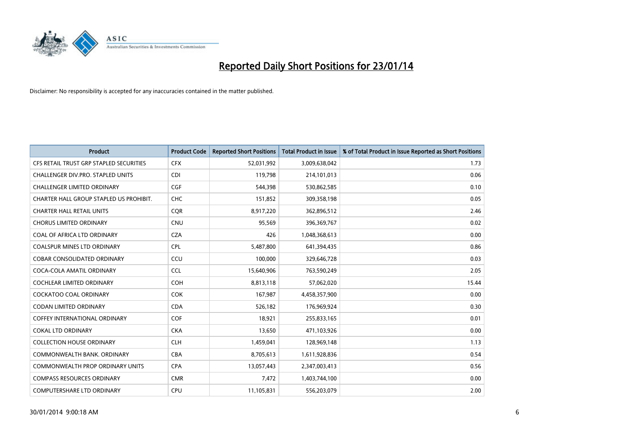

| <b>Product</b>                          | <b>Product Code</b> | <b>Reported Short Positions</b> | <b>Total Product in Issue</b> | % of Total Product in Issue Reported as Short Positions |
|-----------------------------------------|---------------------|---------------------------------|-------------------------------|---------------------------------------------------------|
| CFS RETAIL TRUST GRP STAPLED SECURITIES | <b>CFX</b>          | 52,031,992                      | 3,009,638,042                 | 1.73                                                    |
| CHALLENGER DIV.PRO. STAPLED UNITS       | <b>CDI</b>          | 119,798                         | 214,101,013                   | 0.06                                                    |
| CHALLENGER LIMITED ORDINARY             | <b>CGF</b>          | 544,398                         | 530,862,585                   | 0.10                                                    |
| CHARTER HALL GROUP STAPLED US PROHIBIT. | <b>CHC</b>          | 151,852                         | 309,358,198                   | 0.05                                                    |
| <b>CHARTER HALL RETAIL UNITS</b>        | <b>COR</b>          | 8,917,220                       | 362,896,512                   | 2.46                                                    |
| <b>CHORUS LIMITED ORDINARY</b>          | <b>CNU</b>          | 95,569                          | 396,369,767                   | 0.02                                                    |
| COAL OF AFRICA LTD ORDINARY             | <b>CZA</b>          | 426                             | 1,048,368,613                 | 0.00                                                    |
| COALSPUR MINES LTD ORDINARY             | <b>CPL</b>          | 5,487,800                       | 641,394,435                   | 0.86                                                    |
| <b>COBAR CONSOLIDATED ORDINARY</b>      | CCU                 | 100,000                         | 329,646,728                   | 0.03                                                    |
| COCA-COLA AMATIL ORDINARY               | <b>CCL</b>          | 15,640,906                      | 763,590,249                   | 2.05                                                    |
| COCHLEAR LIMITED ORDINARY               | <b>COH</b>          | 8,813,118                       | 57,062,020                    | 15.44                                                   |
| COCKATOO COAL ORDINARY                  | COK                 | 167,987                         | 4,458,357,900                 | 0.00                                                    |
| <b>CODAN LIMITED ORDINARY</b>           | <b>CDA</b>          | 526,182                         | 176,969,924                   | 0.30                                                    |
| <b>COFFEY INTERNATIONAL ORDINARY</b>    | <b>COF</b>          | 18,921                          | 255,833,165                   | 0.01                                                    |
| <b>COKAL LTD ORDINARY</b>               | <b>CKA</b>          | 13,650                          | 471,103,926                   | 0.00                                                    |
| <b>COLLECTION HOUSE ORDINARY</b>        | <b>CLH</b>          | 1,459,041                       | 128,969,148                   | 1.13                                                    |
| COMMONWEALTH BANK, ORDINARY             | <b>CBA</b>          | 8,705,613                       | 1,611,928,836                 | 0.54                                                    |
| <b>COMMONWEALTH PROP ORDINARY UNITS</b> | <b>CPA</b>          | 13,057,443                      | 2,347,003,413                 | 0.56                                                    |
| <b>COMPASS RESOURCES ORDINARY</b>       | <b>CMR</b>          | 7,472                           | 1,403,744,100                 | 0.00                                                    |
| <b>COMPUTERSHARE LTD ORDINARY</b>       | <b>CPU</b>          | 11,105,831                      | 556,203,079                   | 2.00                                                    |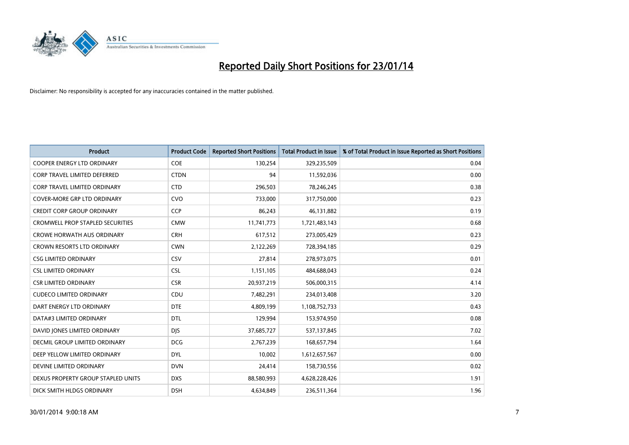

| <b>Product</b>                          | <b>Product Code</b> | <b>Reported Short Positions</b> | <b>Total Product in Issue</b> | % of Total Product in Issue Reported as Short Positions |
|-----------------------------------------|---------------------|---------------------------------|-------------------------------|---------------------------------------------------------|
| <b>COOPER ENERGY LTD ORDINARY</b>       | <b>COE</b>          | 130,254                         | 329,235,509                   | 0.04                                                    |
| <b>CORP TRAVEL LIMITED DEFERRED</b>     | <b>CTDN</b>         | 94                              | 11,592,036                    | 0.00                                                    |
| CORP TRAVEL LIMITED ORDINARY            | <b>CTD</b>          | 296,503                         | 78,246,245                    | 0.38                                                    |
| COVER-MORE GRP LTD ORDINARY             | <b>CVO</b>          | 733,000                         | 317,750,000                   | 0.23                                                    |
| <b>CREDIT CORP GROUP ORDINARY</b>       | <b>CCP</b>          | 86,243                          | 46,131,882                    | 0.19                                                    |
| <b>CROMWELL PROP STAPLED SECURITIES</b> | <b>CMW</b>          | 11,741,773                      | 1,721,483,143                 | 0.68                                                    |
| <b>CROWE HORWATH AUS ORDINARY</b>       | <b>CRH</b>          | 617,512                         | 273,005,429                   | 0.23                                                    |
| CROWN RESORTS LTD ORDINARY              | <b>CWN</b>          | 2,122,269                       | 728,394,185                   | 0.29                                                    |
| <b>CSG LIMITED ORDINARY</b>             | CSV                 | 27,814                          | 278,973,075                   | 0.01                                                    |
| <b>CSL LIMITED ORDINARY</b>             | <b>CSL</b>          | 1,151,105                       | 484,688,043                   | 0.24                                                    |
| <b>CSR LIMITED ORDINARY</b>             | <b>CSR</b>          | 20,937,219                      | 506,000,315                   | 4.14                                                    |
| <b>CUDECO LIMITED ORDINARY</b>          | CDU                 | 7,482,291                       | 234,013,408                   | 3.20                                                    |
| DART ENERGY LTD ORDINARY                | <b>DTE</b>          | 4,809,199                       | 1,108,752,733                 | 0.43                                                    |
| DATA#3 LIMITED ORDINARY                 | DTL                 | 129,994                         | 153,974,950                   | 0.08                                                    |
| DAVID JONES LIMITED ORDINARY            | <b>DJS</b>          | 37,685,727                      | 537,137,845                   | 7.02                                                    |
| <b>DECMIL GROUP LIMITED ORDINARY</b>    | <b>DCG</b>          | 2,767,239                       | 168,657,794                   | 1.64                                                    |
| DEEP YELLOW LIMITED ORDINARY            | <b>DYL</b>          | 10,002                          | 1,612,657,567                 | 0.00                                                    |
| DEVINE LIMITED ORDINARY                 | <b>DVN</b>          | 24,414                          | 158,730,556                   | 0.02                                                    |
| DEXUS PROPERTY GROUP STAPLED UNITS      | <b>DXS</b>          | 88,580,993                      | 4,628,228,426                 | 1.91                                                    |
| DICK SMITH HLDGS ORDINARY               | <b>DSH</b>          | 4,634,849                       | 236,511,364                   | 1.96                                                    |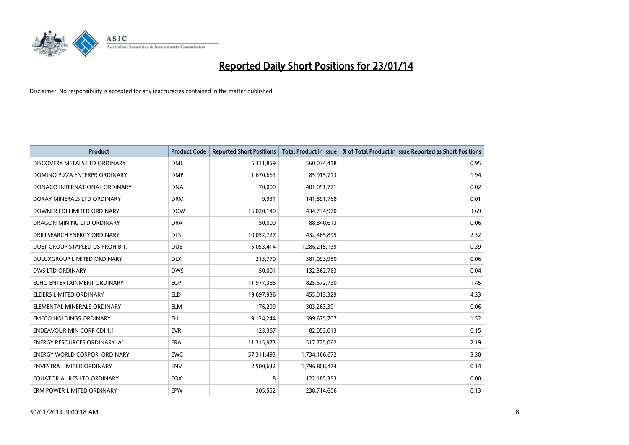

| <b>Product</b>                       | <b>Product Code</b> | <b>Reported Short Positions</b> | <b>Total Product in Issue</b> | % of Total Product in Issue Reported as Short Positions |
|--------------------------------------|---------------------|---------------------------------|-------------------------------|---------------------------------------------------------|
| DISCOVERY METALS LTD ORDINARY        | <b>DML</b>          | 5,311,859                       | 560,034,418                   | 0.95                                                    |
| DOMINO PIZZA ENTERPR ORDINARY        | <b>DMP</b>          | 1,670,663                       | 85,915,713                    | 1.94                                                    |
| DONACO INTERNATIONAL ORDINARY        | <b>DNA</b>          | 70,000                          | 401,051,771                   | 0.02                                                    |
| DORAY MINERALS LTD ORDINARY          | <b>DRM</b>          | 9,931                           | 141,891,768                   | 0.01                                                    |
| DOWNER EDI LIMITED ORDINARY          | <b>DOW</b>          | 16,020,140                      | 434,734,970                   | 3.69                                                    |
| DRAGON MINING LTD ORDINARY           | <b>DRA</b>          | 50,000                          | 88,840,613                    | 0.06                                                    |
| DRILLSEARCH ENERGY ORDINARY          | <b>DLS</b>          | 10,052,727                      | 432,465,895                   | 2.32                                                    |
| DUET GROUP STAPLED US PROHIBIT.      | <b>DUE</b>          | 5,053,414                       | 1,286,215,139                 | 0.39                                                    |
| DULUXGROUP LIMITED ORDINARY          | <b>DLX</b>          | 213,770                         | 381,093,950                   | 0.06                                                    |
| DWS LTD ORDINARY                     | <b>DWS</b>          | 50,001                          | 132,362,763                   | 0.04                                                    |
| ECHO ENTERTAINMENT ORDINARY          | <b>EGP</b>          | 11,977,386                      | 825,672,730                   | 1.45                                                    |
| <b>ELDERS LIMITED ORDINARY</b>       | <b>ELD</b>          | 19,697,936                      | 455,013,329                   | 4.33                                                    |
| ELEMENTAL MINERALS ORDINARY          | <b>ELM</b>          | 176,299                         | 303,263,391                   | 0.06                                                    |
| <b>EMECO HOLDINGS ORDINARY</b>       | <b>EHL</b>          | 9,124,244                       | 599,675,707                   | 1.52                                                    |
| <b>ENDEAVOUR MIN CORP CDI 1:1</b>    | <b>EVR</b>          | 123,367                         | 82,053,013                    | 0.15                                                    |
| <b>ENERGY RESOURCES ORDINARY 'A'</b> | ERA                 | 11,315,973                      | 517,725,062                   | 2.19                                                    |
| <b>ENERGY WORLD CORPOR. ORDINARY</b> | <b>EWC</b>          | 57,311,493                      | 1,734,166,672                 | 3.30                                                    |
| ENVESTRA LIMITED ORDINARY            | <b>ENV</b>          | 2,500,632                       | 1,796,808,474                 | 0.14                                                    |
| EQUATORIAL RES LTD ORDINARY          | EQX                 | 8                               | 122,185,353                   | 0.00                                                    |
| ERM POWER LIMITED ORDINARY           | EPW                 | 305,552                         | 238,714,606                   | 0.13                                                    |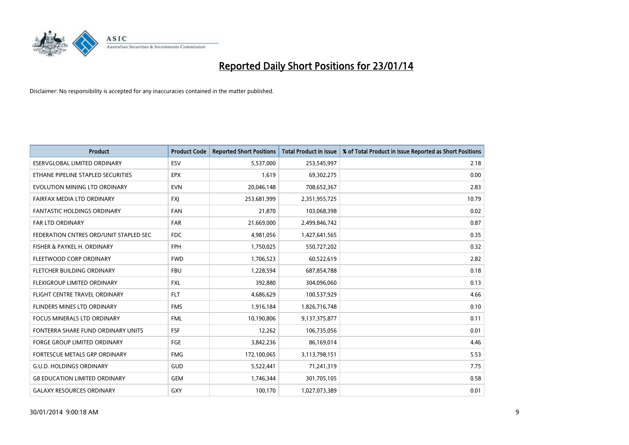

| <b>Product</b>                         | <b>Product Code</b> | <b>Reported Short Positions</b> | <b>Total Product in Issue</b> | % of Total Product in Issue Reported as Short Positions |
|----------------------------------------|---------------------|---------------------------------|-------------------------------|---------------------------------------------------------|
| <b>ESERVGLOBAL LIMITED ORDINARY</b>    | ESV                 | 5,537,000                       | 253,545,997                   | 2.18                                                    |
| ETHANE PIPELINE STAPLED SECURITIES     | <b>EPX</b>          | 1,619                           | 69,302,275                    | 0.00                                                    |
| EVOLUTION MINING LTD ORDINARY          | <b>EVN</b>          | 20,046,148                      | 708,652,367                   | 2.83                                                    |
| FAIRFAX MEDIA LTD ORDINARY             | FXJ                 | 253,681,999                     | 2,351,955,725                 | 10.79                                                   |
| <b>FANTASTIC HOLDINGS ORDINARY</b>     | <b>FAN</b>          | 21,870                          | 103,068,398                   | 0.02                                                    |
| <b>FAR LTD ORDINARY</b>                | <b>FAR</b>          | 21,669,000                      | 2,499,846,742                 | 0.87                                                    |
| FEDERATION CNTRES ORD/UNIT STAPLED SEC | FDC                 | 4,981,056                       | 1,427,641,565                 | 0.35                                                    |
| FISHER & PAYKEL H. ORDINARY            | <b>FPH</b>          | 1,750,025                       | 550,727,202                   | 0.32                                                    |
| FLEETWOOD CORP ORDINARY                | <b>FWD</b>          | 1,706,523                       | 60,522,619                    | 2.82                                                    |
| FLETCHER BUILDING ORDINARY             | <b>FBU</b>          | 1,228,594                       | 687,854,788                   | 0.18                                                    |
| FLEXIGROUP LIMITED ORDINARY            | <b>FXL</b>          | 392,880                         | 304,096,060                   | 0.13                                                    |
| FLIGHT CENTRE TRAVEL ORDINARY          | <b>FLT</b>          | 4,686,629                       | 100,537,929                   | 4.66                                                    |
| FLINDERS MINES LTD ORDINARY            | <b>FMS</b>          | 1,916,184                       | 1,826,716,748                 | 0.10                                                    |
| <b>FOCUS MINERALS LTD ORDINARY</b>     | <b>FML</b>          | 10,190,806                      | 9,137,375,877                 | 0.11                                                    |
| FONTERRA SHARE FUND ORDINARY UNITS     | <b>FSF</b>          | 12,262                          | 106,735,056                   | 0.01                                                    |
| FORGE GROUP LIMITED ORDINARY           | FGE                 | 3,842,236                       | 86,169,014                    | 4.46                                                    |
| FORTESCUE METALS GRP ORDINARY          | <b>FMG</b>          | 172,100,065                     | 3,113,798,151                 | 5.53                                                    |
| <b>G.U.D. HOLDINGS ORDINARY</b>        | GUD                 | 5,522,441                       | 71,241,319                    | 7.75                                                    |
| <b>G8 EDUCATION LIMITED ORDINARY</b>   | <b>GEM</b>          | 1,746,344                       | 301,705,105                   | 0.58                                                    |
| <b>GALAXY RESOURCES ORDINARY</b>       | <b>GXY</b>          | 100,170                         | 1,027,073,389                 | 0.01                                                    |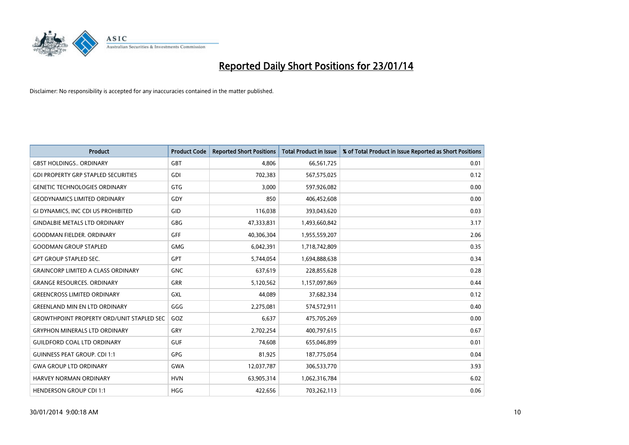

| <b>Product</b>                                   | <b>Product Code</b> | <b>Reported Short Positions</b> | <b>Total Product in Issue</b> | % of Total Product in Issue Reported as Short Positions |
|--------------------------------------------------|---------------------|---------------------------------|-------------------------------|---------------------------------------------------------|
| <b>GBST HOLDINGS ORDINARY</b>                    | <b>GBT</b>          | 4,806                           | 66,561,725                    | 0.01                                                    |
| <b>GDI PROPERTY GRP STAPLED SECURITIES</b>       | <b>GDI</b>          | 702,383                         | 567,575,025                   | 0.12                                                    |
| <b>GENETIC TECHNOLOGIES ORDINARY</b>             | <b>GTG</b>          | 3,000                           | 597,926,082                   | 0.00                                                    |
| <b>GEODYNAMICS LIMITED ORDINARY</b>              | GDY                 | 850                             | 406,452,608                   | 0.00                                                    |
| <b>GI DYNAMICS. INC CDI US PROHIBITED</b>        | GID                 | 116,038                         | 393,043,620                   | 0.03                                                    |
| <b>GINDALBIE METALS LTD ORDINARY</b>             | GBG                 | 47,333,831                      | 1,493,660,842                 | 3.17                                                    |
| <b>GOODMAN FIELDER. ORDINARY</b>                 | GFF                 | 40,306,304                      | 1,955,559,207                 | 2.06                                                    |
| <b>GOODMAN GROUP STAPLED</b>                     | <b>GMG</b>          | 6,042,391                       | 1,718,742,809                 | 0.35                                                    |
| <b>GPT GROUP STAPLED SEC.</b>                    | GPT                 | 5,744,054                       | 1,694,888,638                 | 0.34                                                    |
| <b>GRAINCORP LIMITED A CLASS ORDINARY</b>        | <b>GNC</b>          | 637,619                         | 228,855,628                   | 0.28                                                    |
| <b>GRANGE RESOURCES. ORDINARY</b>                | GRR                 | 5,120,562                       | 1,157,097,869                 | 0.44                                                    |
| <b>GREENCROSS LIMITED ORDINARY</b>               | <b>GXL</b>          | 44,089                          | 37,682,334                    | 0.12                                                    |
| <b>GREENLAND MIN EN LTD ORDINARY</b>             | GGG                 | 2,275,081                       | 574,572,911                   | 0.40                                                    |
| <b>GROWTHPOINT PROPERTY ORD/UNIT STAPLED SEC</b> | GOZ                 | 6,637                           | 475,705,269                   | 0.00                                                    |
| <b>GRYPHON MINERALS LTD ORDINARY</b>             | GRY                 | 2,702,254                       | 400,797,615                   | 0.67                                                    |
| <b>GUILDFORD COAL LTD ORDINARY</b>               | <b>GUF</b>          | 74,608                          | 655,046,899                   | 0.01                                                    |
| <b>GUINNESS PEAT GROUP. CDI 1:1</b>              | <b>GPG</b>          | 81,925                          | 187,775,054                   | 0.04                                                    |
| <b>GWA GROUP LTD ORDINARY</b>                    | <b>GWA</b>          | 12,037,787                      | 306,533,770                   | 3.93                                                    |
| <b>HARVEY NORMAN ORDINARY</b>                    | <b>HVN</b>          | 63,905,314                      | 1,062,316,784                 | 6.02                                                    |
| <b>HENDERSON GROUP CDI 1:1</b>                   | <b>HGG</b>          | 422,656                         | 703,262,113                   | 0.06                                                    |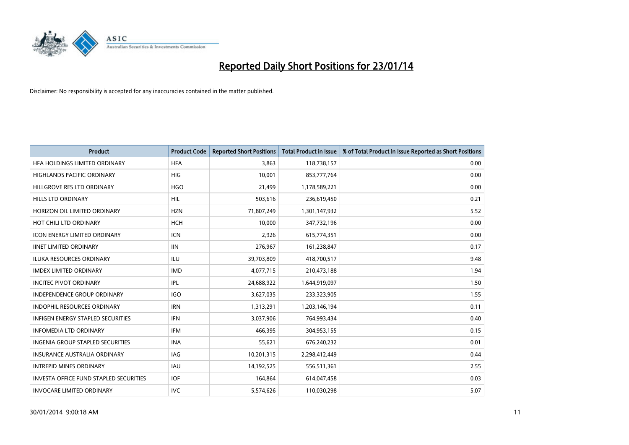

| <b>Product</b>                                | <b>Product Code</b> | <b>Reported Short Positions</b> | <b>Total Product in Issue</b> | % of Total Product in Issue Reported as Short Positions |
|-----------------------------------------------|---------------------|---------------------------------|-------------------------------|---------------------------------------------------------|
| HFA HOLDINGS LIMITED ORDINARY                 | <b>HFA</b>          | 3.863                           | 118,738,157                   | 0.00                                                    |
| <b>HIGHLANDS PACIFIC ORDINARY</b>             | <b>HIG</b>          | 10,001                          | 853,777,764                   | 0.00                                                    |
| HILLGROVE RES LTD ORDINARY                    | <b>HGO</b>          | 21,499                          | 1,178,589,221                 | 0.00                                                    |
| <b>HILLS LTD ORDINARY</b>                     | <b>HIL</b>          | 503,616                         | 236,619,450                   | 0.21                                                    |
| HORIZON OIL LIMITED ORDINARY                  | <b>HZN</b>          | 71,807,249                      | 1,301,147,932                 | 5.52                                                    |
| HOT CHILI LTD ORDINARY                        | <b>HCH</b>          | 10,000                          | 347,732,196                   | 0.00                                                    |
| <b>ICON ENERGY LIMITED ORDINARY</b>           | <b>ICN</b>          | 2,926                           | 615,774,351                   | 0.00                                                    |
| <b>IINET LIMITED ORDINARY</b>                 | <b>IIN</b>          | 276,967                         | 161,238,847                   | 0.17                                                    |
| <b>ILUKA RESOURCES ORDINARY</b>               | ILU                 | 39,703,809                      | 418,700,517                   | 9.48                                                    |
| <b>IMDEX LIMITED ORDINARY</b>                 | <b>IMD</b>          | 4,077,715                       | 210,473,188                   | 1.94                                                    |
| <b>INCITEC PIVOT ORDINARY</b>                 | IPL                 | 24,688,922                      | 1,644,919,097                 | 1.50                                                    |
| INDEPENDENCE GROUP ORDINARY                   | <b>IGO</b>          | 3,627,035                       | 233,323,905                   | 1.55                                                    |
| <b>INDOPHIL RESOURCES ORDINARY</b>            | <b>IRN</b>          | 1,313,291                       | 1,203,146,194                 | 0.11                                                    |
| <b>INFIGEN ENERGY STAPLED SECURITIES</b>      | <b>IFN</b>          | 3,037,906                       | 764,993,434                   | 0.40                                                    |
| <b>INFOMEDIA LTD ORDINARY</b>                 | <b>IFM</b>          | 466,395                         | 304,953,155                   | 0.15                                                    |
| <b>INGENIA GROUP STAPLED SECURITIES</b>       | <b>INA</b>          | 55,621                          | 676,240,232                   | 0.01                                                    |
| INSURANCE AUSTRALIA ORDINARY                  | IAG                 | 10,201,315                      | 2,298,412,449                 | 0.44                                                    |
| <b>INTREPID MINES ORDINARY</b>                | <b>IAU</b>          | 14,192,525                      | 556,511,361                   | 2.55                                                    |
| <b>INVESTA OFFICE FUND STAPLED SECURITIES</b> | <b>IOF</b>          | 164,864                         | 614,047,458                   | 0.03                                                    |
| <b>INVOCARE LIMITED ORDINARY</b>              | <b>IVC</b>          | 5,574,626                       | 110,030,298                   | 5.07                                                    |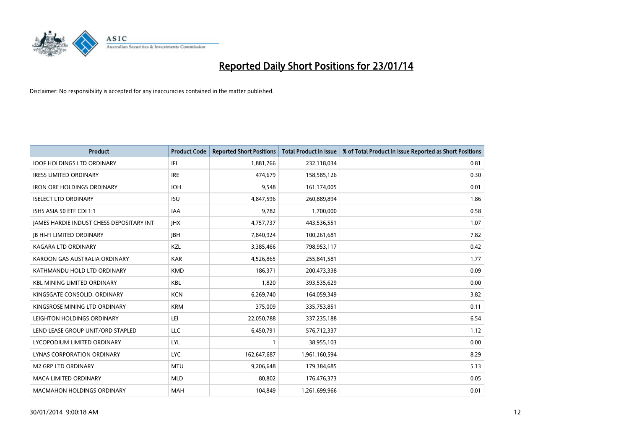

| <b>Product</b>                                  | <b>Product Code</b> | <b>Reported Short Positions</b> | <b>Total Product in Issue</b> | % of Total Product in Issue Reported as Short Positions |
|-------------------------------------------------|---------------------|---------------------------------|-------------------------------|---------------------------------------------------------|
| <b>IOOF HOLDINGS LTD ORDINARY</b>               | IFL                 | 1,881,766                       | 232,118,034                   | 0.81                                                    |
| <b>IRESS LIMITED ORDINARY</b>                   | <b>IRE</b>          | 474,679                         | 158,585,126                   | 0.30                                                    |
| <b>IRON ORE HOLDINGS ORDINARY</b>               | <b>IOH</b>          | 9,548                           | 161,174,005                   | 0.01                                                    |
| <b>ISELECT LTD ORDINARY</b>                     | <b>ISU</b>          | 4,847,596                       | 260,889,894                   | 1.86                                                    |
| ISHS ASIA 50 ETF CDI 1:1                        | <b>IAA</b>          | 9,782                           | 1,700,000                     | 0.58                                                    |
| <b>JAMES HARDIE INDUST CHESS DEPOSITARY INT</b> | <b>IHX</b>          | 4,757,737                       | 443,536,551                   | 1.07                                                    |
| <b>JB HI-FI LIMITED ORDINARY</b>                | <b>IBH</b>          | 7,840,924                       | 100,261,681                   | 7.82                                                    |
| <b>KAGARA LTD ORDINARY</b>                      | KZL                 | 3,385,466                       | 798,953,117                   | 0.42                                                    |
| KAROON GAS AUSTRALIA ORDINARY                   | <b>KAR</b>          | 4,526,865                       | 255,841,581                   | 1.77                                                    |
| KATHMANDU HOLD LTD ORDINARY                     | <b>KMD</b>          | 186,371                         | 200,473,338                   | 0.09                                                    |
| <b>KBL MINING LIMITED ORDINARY</b>              | <b>KBL</b>          | 1,820                           | 393,535,629                   | 0.00                                                    |
| KINGSGATE CONSOLID. ORDINARY                    | <b>KCN</b>          | 6,269,740                       | 164,059,349                   | 3.82                                                    |
| KINGSROSE MINING LTD ORDINARY                   | <b>KRM</b>          | 375,009                         | 335,753,851                   | 0.11                                                    |
| LEIGHTON HOLDINGS ORDINARY                      | LEI                 | 22,050,788                      | 337,235,188                   | 6.54                                                    |
| LEND LEASE GROUP UNIT/ORD STAPLED               | <b>LLC</b>          | 6,450,791                       | 576,712,337                   | 1.12                                                    |
| LYCOPODIUM LIMITED ORDINARY                     | LYL                 |                                 | 38,955,103                    | 0.00                                                    |
| <b>LYNAS CORPORATION ORDINARY</b>               | <b>LYC</b>          | 162,647,687                     | 1,961,160,594                 | 8.29                                                    |
| <b>M2 GRP LTD ORDINARY</b>                      | <b>MTU</b>          | 9,206,648                       | 179,384,685                   | 5.13                                                    |
| <b>MACA LIMITED ORDINARY</b>                    | <b>MLD</b>          | 80,802                          | 176,476,373                   | 0.05                                                    |
| <b>MACMAHON HOLDINGS ORDINARY</b>               | <b>MAH</b>          | 104,849                         | 1,261,699,966                 | 0.01                                                    |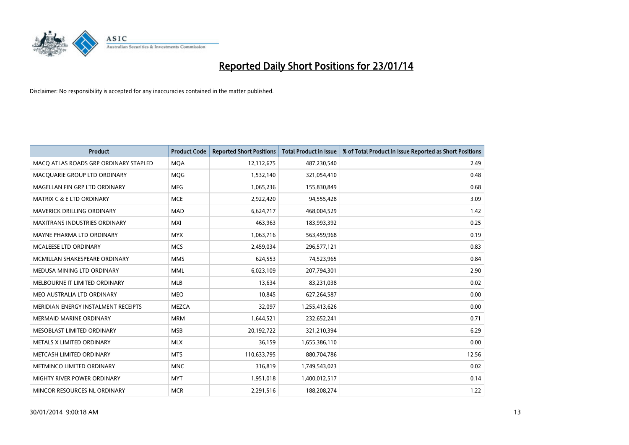

| <b>Product</b>                        | <b>Product Code</b> | <b>Reported Short Positions</b> | <b>Total Product in Issue</b> | % of Total Product in Issue Reported as Short Positions |
|---------------------------------------|---------------------|---------------------------------|-------------------------------|---------------------------------------------------------|
| MACO ATLAS ROADS GRP ORDINARY STAPLED | <b>MQA</b>          | 12,112,675                      | 487,230,540                   | 2.49                                                    |
| MACQUARIE GROUP LTD ORDINARY          | <b>MQG</b>          | 1,532,140                       | 321,054,410                   | 0.48                                                    |
| MAGELLAN FIN GRP LTD ORDINARY         | <b>MFG</b>          | 1,065,236                       | 155,830,849                   | 0.68                                                    |
| <b>MATRIX C &amp; E LTD ORDINARY</b>  | <b>MCE</b>          | 2,922,420                       | 94,555,428                    | 3.09                                                    |
| MAVERICK DRILLING ORDINARY            | <b>MAD</b>          | 6,624,717                       | 468,004,529                   | 1.42                                                    |
| <b>MAXITRANS INDUSTRIES ORDINARY</b>  | <b>MXI</b>          | 463,963                         | 183,993,392                   | 0.25                                                    |
| MAYNE PHARMA LTD ORDINARY             | <b>MYX</b>          | 1,063,716                       | 563,459,968                   | 0.19                                                    |
| MCALEESE LTD ORDINARY                 | <b>MCS</b>          | 2,459,034                       | 296,577,121                   | 0.83                                                    |
| MCMILLAN SHAKESPEARE ORDINARY         | <b>MMS</b>          | 624,553                         | 74,523,965                    | 0.84                                                    |
| MEDUSA MINING LTD ORDINARY            | <b>MML</b>          | 6,023,109                       | 207,794,301                   | 2.90                                                    |
| MELBOURNE IT LIMITED ORDINARY         | <b>MLB</b>          | 13,634                          | 83,231,038                    | 0.02                                                    |
| MEO AUSTRALIA LTD ORDINARY            | <b>MEO</b>          | 10,845                          | 627,264,587                   | 0.00                                                    |
| MERIDIAN ENERGY INSTALMENT RECEIPTS   | <b>MEZCA</b>        | 32,097                          | 1,255,413,626                 | 0.00                                                    |
| <b>MERMAID MARINE ORDINARY</b>        | <b>MRM</b>          | 1,644,521                       | 232,652,241                   | 0.71                                                    |
| MESOBLAST LIMITED ORDINARY            | <b>MSB</b>          | 20,192,722                      | 321,210,394                   | 6.29                                                    |
| METALS X LIMITED ORDINARY             | <b>MLX</b>          | 36,159                          | 1,655,386,110                 | 0.00                                                    |
| METCASH LIMITED ORDINARY              | <b>MTS</b>          | 110,633,795                     | 880,704,786                   | 12.56                                                   |
| METMINCO LIMITED ORDINARY             | <b>MNC</b>          | 316,819                         | 1,749,543,023                 | 0.02                                                    |
| MIGHTY RIVER POWER ORDINARY           | <b>MYT</b>          | 1,951,018                       | 1,400,012,517                 | 0.14                                                    |
| MINCOR RESOURCES NL ORDINARY          | <b>MCR</b>          | 2,291,516                       | 188,208,274                   | 1.22                                                    |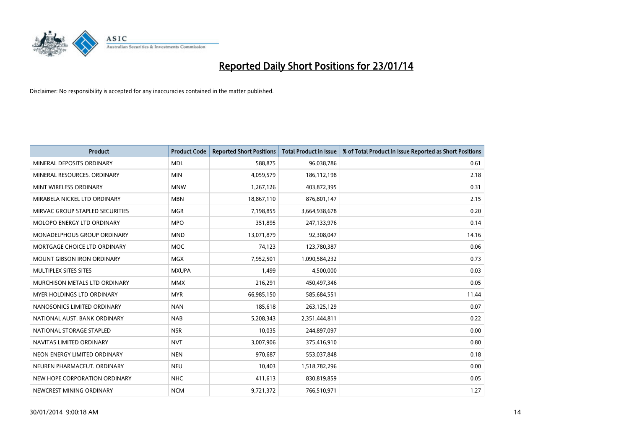

| <b>Product</b>                     | <b>Product Code</b> | <b>Reported Short Positions</b> | <b>Total Product in Issue</b> | % of Total Product in Issue Reported as Short Positions |
|------------------------------------|---------------------|---------------------------------|-------------------------------|---------------------------------------------------------|
| MINERAL DEPOSITS ORDINARY          | <b>MDL</b>          | 588,875                         | 96,038,786                    | 0.61                                                    |
| MINERAL RESOURCES. ORDINARY        | <b>MIN</b>          | 4,059,579                       | 186,112,198                   | 2.18                                                    |
| MINT WIRELESS ORDINARY             | <b>MNW</b>          | 1,267,126                       | 403,872,395                   | 0.31                                                    |
| MIRABELA NICKEL LTD ORDINARY       | <b>MBN</b>          | 18,867,110                      | 876,801,147                   | 2.15                                                    |
| MIRVAC GROUP STAPLED SECURITIES    | <b>MGR</b>          | 7,198,855                       | 3,664,938,678                 | 0.20                                                    |
| MOLOPO ENERGY LTD ORDINARY         | <b>MPO</b>          | 351,895                         | 247,133,976                   | 0.14                                                    |
| <b>MONADELPHOUS GROUP ORDINARY</b> | <b>MND</b>          | 13,071,879                      | 92,308,047                    | 14.16                                                   |
| MORTGAGE CHOICE LTD ORDINARY       | <b>MOC</b>          | 74,123                          | 123,780,387                   | 0.06                                                    |
| <b>MOUNT GIBSON IRON ORDINARY</b>  | <b>MGX</b>          | 7,952,501                       | 1,090,584,232                 | 0.73                                                    |
| MULTIPLEX SITES SITES              | <b>MXUPA</b>        | 1,499                           | 4,500,000                     | 0.03                                                    |
| MURCHISON METALS LTD ORDINARY      | <b>MMX</b>          | 216,291                         | 450,497,346                   | 0.05                                                    |
| <b>MYER HOLDINGS LTD ORDINARY</b>  | <b>MYR</b>          | 66,985,150                      | 585,684,551                   | 11.44                                                   |
| NANOSONICS LIMITED ORDINARY        | <b>NAN</b>          | 185,618                         | 263,125,129                   | 0.07                                                    |
| NATIONAL AUST. BANK ORDINARY       | <b>NAB</b>          | 5,208,343                       | 2,351,444,811                 | 0.22                                                    |
| NATIONAL STORAGE STAPLED           | <b>NSR</b>          | 10,035                          | 244,897,097                   | 0.00                                                    |
| NAVITAS LIMITED ORDINARY           | <b>NVT</b>          | 3,007,906                       | 375,416,910                   | 0.80                                                    |
| NEON ENERGY LIMITED ORDINARY       | <b>NEN</b>          | 970,687                         | 553,037,848                   | 0.18                                                    |
| NEUREN PHARMACEUT. ORDINARY        | <b>NEU</b>          | 10,403                          | 1,518,782,296                 | 0.00                                                    |
| NEW HOPE CORPORATION ORDINARY      | <b>NHC</b>          | 411,613                         | 830,819,859                   | 0.05                                                    |
| NEWCREST MINING ORDINARY           | <b>NCM</b>          | 9,721,372                       | 766,510,971                   | 1.27                                                    |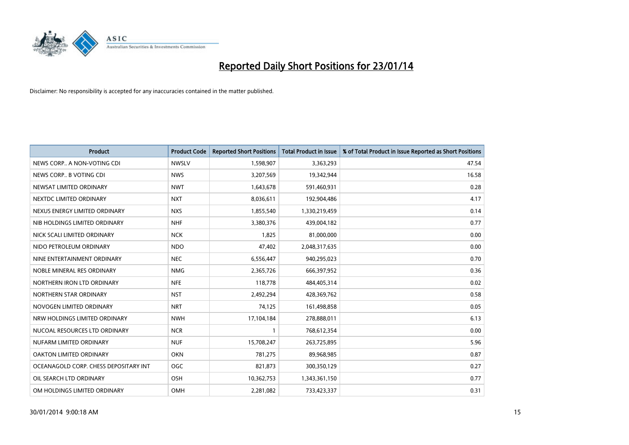

| <b>Product</b>                        | <b>Product Code</b> | <b>Reported Short Positions</b> | <b>Total Product in Issue</b> | % of Total Product in Issue Reported as Short Positions |
|---------------------------------------|---------------------|---------------------------------|-------------------------------|---------------------------------------------------------|
| NEWS CORP A NON-VOTING CDI            | <b>NWSLV</b>        | 1,598,907                       | 3,363,293                     | 47.54                                                   |
| NEWS CORP B VOTING CDI                | <b>NWS</b>          | 3,207,569                       | 19,342,944                    | 16.58                                                   |
| NEWSAT LIMITED ORDINARY               | <b>NWT</b>          | 1,643,678                       | 591,460,931                   | 0.28                                                    |
| NEXTDC LIMITED ORDINARY               | <b>NXT</b>          | 8,036,611                       | 192,904,486                   | 4.17                                                    |
| NEXUS ENERGY LIMITED ORDINARY         | <b>NXS</b>          | 1,855,540                       | 1,330,219,459                 | 0.14                                                    |
| NIB HOLDINGS LIMITED ORDINARY         | <b>NHF</b>          | 3,380,376                       | 439,004,182                   | 0.77                                                    |
| NICK SCALI LIMITED ORDINARY           | <b>NCK</b>          | 1,825                           | 81,000,000                    | 0.00                                                    |
| NIDO PETROLEUM ORDINARY               | <b>NDO</b>          | 47,402                          | 2,048,317,635                 | 0.00                                                    |
| NINE ENTERTAINMENT ORDINARY           | <b>NEC</b>          | 6,556,447                       | 940,295,023                   | 0.70                                                    |
| NOBLE MINERAL RES ORDINARY            | <b>NMG</b>          | 2,365,726                       | 666,397,952                   | 0.36                                                    |
| NORTHERN IRON LTD ORDINARY            | <b>NFE</b>          | 118,778                         | 484,405,314                   | 0.02                                                    |
| NORTHERN STAR ORDINARY                | <b>NST</b>          | 2,492,294                       | 428,369,762                   | 0.58                                                    |
| NOVOGEN LIMITED ORDINARY              | <b>NRT</b>          | 74,125                          | 161,498,858                   | 0.05                                                    |
| NRW HOLDINGS LIMITED ORDINARY         | <b>NWH</b>          | 17,104,184                      | 278,888,011                   | 6.13                                                    |
| NUCOAL RESOURCES LTD ORDINARY         | <b>NCR</b>          | $\mathbf{1}$                    | 768,612,354                   | 0.00                                                    |
| NUFARM LIMITED ORDINARY               | <b>NUF</b>          | 15,708,247                      | 263,725,895                   | 5.96                                                    |
| OAKTON LIMITED ORDINARY               | <b>OKN</b>          | 781,275                         | 89,968,985                    | 0.87                                                    |
| OCEANAGOLD CORP. CHESS DEPOSITARY INT | <b>OGC</b>          | 821,873                         | 300,350,129                   | 0.27                                                    |
| OIL SEARCH LTD ORDINARY               | OSH                 | 10,362,753                      | 1,343,361,150                 | 0.77                                                    |
| OM HOLDINGS LIMITED ORDINARY          | OMH                 | 2,281,082                       | 733,423,337                   | 0.31                                                    |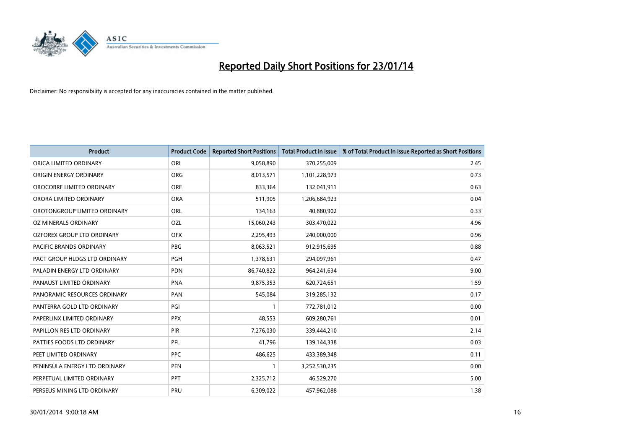

| <b>Product</b>                | <b>Product Code</b> | <b>Reported Short Positions</b> | <b>Total Product in Issue</b> | % of Total Product in Issue Reported as Short Positions |
|-------------------------------|---------------------|---------------------------------|-------------------------------|---------------------------------------------------------|
| ORICA LIMITED ORDINARY        | ORI                 | 9,058,890                       | 370,255,009                   | 2.45                                                    |
| ORIGIN ENERGY ORDINARY        | <b>ORG</b>          | 8,013,571                       | 1,101,228,973                 | 0.73                                                    |
| OROCOBRE LIMITED ORDINARY     | <b>ORE</b>          | 833,364                         | 132,041,911                   | 0.63                                                    |
| ORORA LIMITED ORDINARY        | <b>ORA</b>          | 511,905                         | 1,206,684,923                 | 0.04                                                    |
| OROTONGROUP LIMITED ORDINARY  | ORL                 | 134,163                         | 40,880,902                    | 0.33                                                    |
| OZ MINERALS ORDINARY          | <b>OZL</b>          | 15,060,243                      | 303,470,022                   | 4.96                                                    |
| OZFOREX GROUP LTD ORDINARY    | <b>OFX</b>          | 2,295,493                       | 240,000,000                   | 0.96                                                    |
| PACIFIC BRANDS ORDINARY       | <b>PBG</b>          | 8,063,521                       | 912,915,695                   | 0.88                                                    |
| PACT GROUP HLDGS LTD ORDINARY | <b>PGH</b>          | 1,378,631                       | 294,097,961                   | 0.47                                                    |
| PALADIN ENERGY LTD ORDINARY   | <b>PDN</b>          | 86,740,822                      | 964,241,634                   | 9.00                                                    |
| PANAUST LIMITED ORDINARY      | <b>PNA</b>          | 9,875,353                       | 620,724,651                   | 1.59                                                    |
| PANORAMIC RESOURCES ORDINARY  | PAN                 | 545,084                         | 319,285,132                   | 0.17                                                    |
| PANTERRA GOLD LTD ORDINARY    | PGI                 | $\mathbf{1}$                    | 772,781,012                   | 0.00                                                    |
| PAPERLINX LIMITED ORDINARY    | <b>PPX</b>          | 48,553                          | 609,280,761                   | 0.01                                                    |
| PAPILLON RES LTD ORDINARY     | PIR                 | 7,276,030                       | 339,444,210                   | 2.14                                                    |
| PATTIES FOODS LTD ORDINARY    | PFL                 | 41,796                          | 139,144,338                   | 0.03                                                    |
| PEET LIMITED ORDINARY         | <b>PPC</b>          | 486,625                         | 433,389,348                   | 0.11                                                    |
| PENINSULA ENERGY LTD ORDINARY | <b>PEN</b>          | $\mathbf{1}$                    | 3,252,530,235                 | 0.00                                                    |
| PERPETUAL LIMITED ORDINARY    | <b>PPT</b>          | 2,325,712                       | 46,529,270                    | 5.00                                                    |
| PERSEUS MINING LTD ORDINARY   | PRU                 | 6,309,022                       | 457,962,088                   | 1.38                                                    |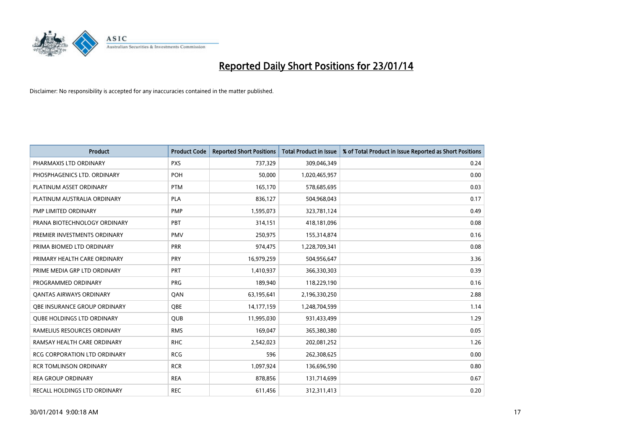

| <b>Product</b>                      | <b>Product Code</b> | <b>Reported Short Positions</b> | <b>Total Product in Issue</b> | % of Total Product in Issue Reported as Short Positions |
|-------------------------------------|---------------------|---------------------------------|-------------------------------|---------------------------------------------------------|
| PHARMAXIS LTD ORDINARY              | <b>PXS</b>          | 737,329                         | 309,046,349                   | 0.24                                                    |
| PHOSPHAGENICS LTD. ORDINARY         | POH                 | 50,000                          | 1,020,465,957                 | 0.00                                                    |
| PLATINUM ASSET ORDINARY             | <b>PTM</b>          | 165,170                         | 578,685,695                   | 0.03                                                    |
| PLATINUM AUSTRALIA ORDINARY         | PLA                 | 836,127                         | 504,968,043                   | 0.17                                                    |
| PMP LIMITED ORDINARY                | PMP                 | 1,595,073                       | 323,781,124                   | 0.49                                                    |
| PRANA BIOTECHNOLOGY ORDINARY        | PBT                 | 314,151                         | 418,181,096                   | 0.08                                                    |
| PREMIER INVESTMENTS ORDINARY        | <b>PMV</b>          | 250,975                         | 155,314,874                   | 0.16                                                    |
| PRIMA BIOMED LTD ORDINARY           | <b>PRR</b>          | 974,475                         | 1,228,709,341                 | 0.08                                                    |
| PRIMARY HEALTH CARE ORDINARY        | <b>PRY</b>          | 16,979,259                      | 504,956,647                   | 3.36                                                    |
| PRIME MEDIA GRP LTD ORDINARY        | <b>PRT</b>          | 1,410,937                       | 366,330,303                   | 0.39                                                    |
| PROGRAMMED ORDINARY                 | <b>PRG</b>          | 189,940                         | 118,229,190                   | 0.16                                                    |
| <b>QANTAS AIRWAYS ORDINARY</b>      | QAN                 | 63,195,641                      | 2,196,330,250                 | 2.88                                                    |
| OBE INSURANCE GROUP ORDINARY        | QBE                 | 14,177,159                      | 1,248,704,599                 | 1.14                                                    |
| <b>QUBE HOLDINGS LTD ORDINARY</b>   | <b>QUB</b>          | 11,995,030                      | 931,433,499                   | 1.29                                                    |
| RAMELIUS RESOURCES ORDINARY         | <b>RMS</b>          | 169,047                         | 365,380,380                   | 0.05                                                    |
| RAMSAY HEALTH CARE ORDINARY         | <b>RHC</b>          | 2,542,023                       | 202,081,252                   | 1.26                                                    |
| <b>RCG CORPORATION LTD ORDINARY</b> | <b>RCG</b>          | 596                             | 262,308,625                   | 0.00                                                    |
| <b>RCR TOMLINSON ORDINARY</b>       | <b>RCR</b>          | 1,097,924                       | 136,696,590                   | 0.80                                                    |
| <b>REA GROUP ORDINARY</b>           | <b>REA</b>          | 878,856                         | 131,714,699                   | 0.67                                                    |
| RECALL HOLDINGS LTD ORDINARY        | <b>REC</b>          | 611,456                         | 312,311,413                   | 0.20                                                    |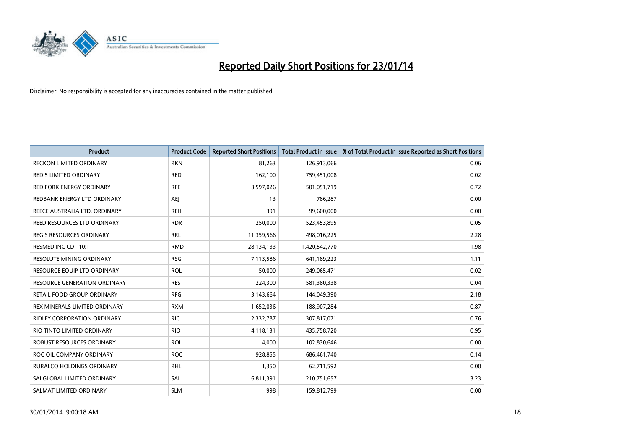

| Product                            | <b>Product Code</b> | <b>Reported Short Positions</b> | <b>Total Product in Issue</b> | % of Total Product in Issue Reported as Short Positions |
|------------------------------------|---------------------|---------------------------------|-------------------------------|---------------------------------------------------------|
| <b>RECKON LIMITED ORDINARY</b>     | <b>RKN</b>          | 81,263                          | 126,913,066                   | 0.06                                                    |
| <b>RED 5 LIMITED ORDINARY</b>      | <b>RED</b>          | 162,100                         | 759,451,008                   | 0.02                                                    |
| <b>RED FORK ENERGY ORDINARY</b>    | <b>RFE</b>          | 3,597,026                       | 501,051,719                   | 0.72                                                    |
| REDBANK ENERGY LTD ORDINARY        | <b>AEI</b>          | 13                              | 786,287                       | 0.00                                                    |
| REECE AUSTRALIA LTD. ORDINARY      | <b>REH</b>          | 391                             | 99,600,000                    | 0.00                                                    |
| REED RESOURCES LTD ORDINARY        | <b>RDR</b>          | 250,000                         | 523,453,895                   | 0.05                                                    |
| <b>REGIS RESOURCES ORDINARY</b>    | <b>RRL</b>          | 11,359,566                      | 498,016,225                   | 2.28                                                    |
| RESMED INC CDI 10:1                | <b>RMD</b>          | 28,134,133                      | 1,420,542,770                 | 1.98                                                    |
| <b>RESOLUTE MINING ORDINARY</b>    | <b>RSG</b>          | 7,113,586                       | 641,189,223                   | 1.11                                                    |
| RESOURCE EQUIP LTD ORDINARY        | <b>RQL</b>          | 50,000                          | 249,065,471                   | 0.02                                                    |
| RESOURCE GENERATION ORDINARY       | <b>RES</b>          | 224,300                         | 581,380,338                   | 0.04                                                    |
| RETAIL FOOD GROUP ORDINARY         | <b>RFG</b>          | 3,143,664                       | 144,049,390                   | 2.18                                                    |
| REX MINERALS LIMITED ORDINARY      | <b>RXM</b>          | 1,652,036                       | 188,907,284                   | 0.87                                                    |
| <b>RIDLEY CORPORATION ORDINARY</b> | <b>RIC</b>          | 2,332,787                       | 307,817,071                   | 0.76                                                    |
| RIO TINTO LIMITED ORDINARY         | <b>RIO</b>          | 4,118,131                       | 435,758,720                   | 0.95                                                    |
| ROBUST RESOURCES ORDINARY          | <b>ROL</b>          | 4,000                           | 102,830,646                   | 0.00                                                    |
| ROC OIL COMPANY ORDINARY           | <b>ROC</b>          | 928,855                         | 686,461,740                   | 0.14                                                    |
| <b>RURALCO HOLDINGS ORDINARY</b>   | <b>RHL</b>          | 1,350                           | 62,711,592                    | 0.00                                                    |
| SAI GLOBAL LIMITED ORDINARY        | SAI                 | 6,811,391                       | 210,751,657                   | 3.23                                                    |
| SALMAT LIMITED ORDINARY            | <b>SLM</b>          | 998                             | 159,812,799                   | 0.00                                                    |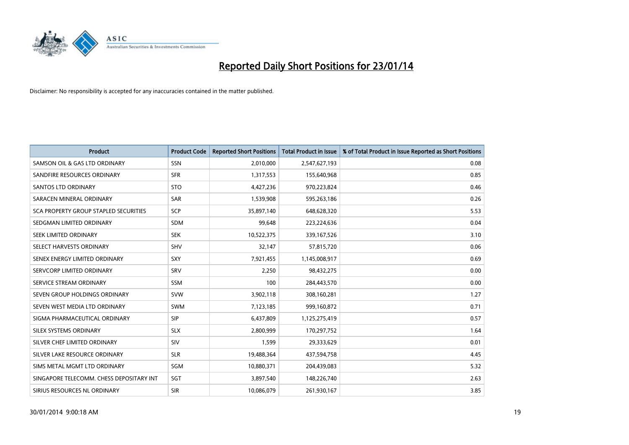

| <b>Product</b>                           | <b>Product Code</b> | <b>Reported Short Positions</b> | <b>Total Product in Issue</b> | % of Total Product in Issue Reported as Short Positions |
|------------------------------------------|---------------------|---------------------------------|-------------------------------|---------------------------------------------------------|
| SAMSON OIL & GAS LTD ORDINARY            | SSN                 | 2,010,000                       | 2,547,627,193                 | 0.08                                                    |
| SANDFIRE RESOURCES ORDINARY              | <b>SFR</b>          | 1,317,553                       | 155,640,968                   | 0.85                                                    |
| <b>SANTOS LTD ORDINARY</b>               | <b>STO</b>          | 4,427,236                       | 970,223,824                   | 0.46                                                    |
| SARACEN MINERAL ORDINARY                 | SAR                 | 1,539,908                       | 595,263,186                   | 0.26                                                    |
| SCA PROPERTY GROUP STAPLED SECURITIES    | <b>SCP</b>          | 35,897,140                      | 648,628,320                   | 5.53                                                    |
| SEDGMAN LIMITED ORDINARY                 | SDM                 | 99,648                          | 223,224,636                   | 0.04                                                    |
| SEEK LIMITED ORDINARY                    | <b>SEK</b>          | 10,522,375                      | 339,167,526                   | 3.10                                                    |
| SELECT HARVESTS ORDINARY                 | SHV                 | 32,147                          | 57,815,720                    | 0.06                                                    |
| SENEX ENERGY LIMITED ORDINARY            | <b>SXY</b>          | 7,921,455                       | 1,145,008,917                 | 0.69                                                    |
| SERVCORP LIMITED ORDINARY                | SRV                 | 2,250                           | 98,432,275                    | 0.00                                                    |
| SERVICE STREAM ORDINARY                  | <b>SSM</b>          | 100                             | 284,443,570                   | 0.00                                                    |
| SEVEN GROUP HOLDINGS ORDINARY            | <b>SVW</b>          | 3,902,118                       | 308,160,281                   | 1.27                                                    |
| SEVEN WEST MEDIA LTD ORDINARY            | <b>SWM</b>          | 7,123,185                       | 999,160,872                   | 0.71                                                    |
| SIGMA PHARMACEUTICAL ORDINARY            | <b>SIP</b>          | 6,437,809                       | 1,125,275,419                 | 0.57                                                    |
| SILEX SYSTEMS ORDINARY                   | <b>SLX</b>          | 2,800,999                       | 170,297,752                   | 1.64                                                    |
| SILVER CHEF LIMITED ORDINARY             | SIV                 | 1,599                           | 29,333,629                    | 0.01                                                    |
| SILVER LAKE RESOURCE ORDINARY            | <b>SLR</b>          | 19,488,364                      | 437,594,758                   | 4.45                                                    |
| SIMS METAL MGMT LTD ORDINARY             | SGM                 | 10,880,371                      | 204,439,083                   | 5.32                                                    |
| SINGAPORE TELECOMM. CHESS DEPOSITARY INT | SGT                 | 3,897,540                       | 148,226,740                   | 2.63                                                    |
| SIRIUS RESOURCES NL ORDINARY             | <b>SIR</b>          | 10,086,079                      | 261,930,167                   | 3.85                                                    |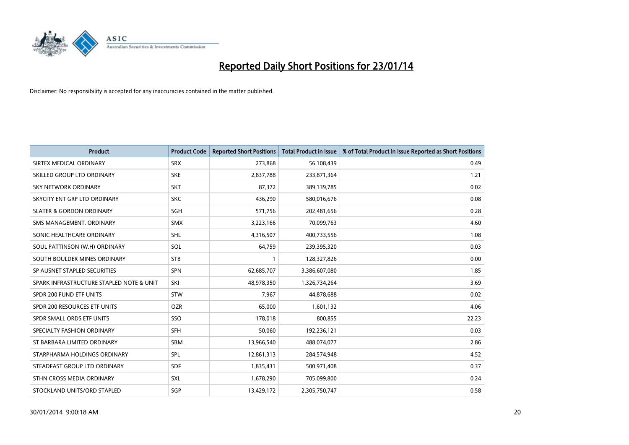

| <b>Product</b>                           | <b>Product Code</b> | <b>Reported Short Positions</b> | <b>Total Product in Issue</b> | % of Total Product in Issue Reported as Short Positions |
|------------------------------------------|---------------------|---------------------------------|-------------------------------|---------------------------------------------------------|
| SIRTEX MEDICAL ORDINARY                  | <b>SRX</b>          | 273,868                         | 56,108,439                    | 0.49                                                    |
| SKILLED GROUP LTD ORDINARY               | <b>SKE</b>          | 2,837,788                       | 233,871,364                   | 1.21                                                    |
| <b>SKY NETWORK ORDINARY</b>              | <b>SKT</b>          | 87,372                          | 389,139,785                   | 0.02                                                    |
| SKYCITY ENT GRP LTD ORDINARY             | <b>SKC</b>          | 436,290                         | 580,016,676                   | 0.08                                                    |
| <b>SLATER &amp; GORDON ORDINARY</b>      | SGH                 | 571,756                         | 202,481,656                   | 0.28                                                    |
| SMS MANAGEMENT, ORDINARY                 | <b>SMX</b>          | 3,223,166                       | 70,099,763                    | 4.60                                                    |
| SONIC HEALTHCARE ORDINARY                | <b>SHL</b>          | 4,316,507                       | 400,733,556                   | 1.08                                                    |
| SOUL PATTINSON (W.H) ORDINARY            | SOL                 | 64,759                          | 239,395,320                   | 0.03                                                    |
| SOUTH BOULDER MINES ORDINARY             | <b>STB</b>          | 1                               | 128,327,826                   | 0.00                                                    |
| SP AUSNET STAPLED SECURITIES             | <b>SPN</b>          | 62,685,707                      | 3,386,607,080                 | 1.85                                                    |
| SPARK INFRASTRUCTURE STAPLED NOTE & UNIT | SKI                 | 48,978,350                      | 1,326,734,264                 | 3.69                                                    |
| SPDR 200 FUND ETF UNITS                  | <b>STW</b>          | 7,967                           | 44,878,688                    | 0.02                                                    |
| SPDR 200 RESOURCES ETF UNITS             | <b>OZR</b>          | 65,000                          | 1,601,132                     | 4.06                                                    |
| SPDR SMALL ORDS ETF UNITS                | SSO                 | 178,018                         | 800,855                       | 22.23                                                   |
| SPECIALTY FASHION ORDINARY               | <b>SFH</b>          | 50,060                          | 192,236,121                   | 0.03                                                    |
| ST BARBARA LIMITED ORDINARY              | SBM                 | 13,966,540                      | 488,074,077                   | 2.86                                                    |
| STARPHARMA HOLDINGS ORDINARY             | SPL                 | 12,861,313                      | 284,574,948                   | 4.52                                                    |
| STEADFAST GROUP LTD ORDINARY             | <b>SDF</b>          | 1,835,431                       | 500,971,408                   | 0.37                                                    |
| STHN CROSS MEDIA ORDINARY                | <b>SXL</b>          | 1,678,290                       | 705,099,800                   | 0.24                                                    |
| STOCKLAND UNITS/ORD STAPLED              | SGP                 | 13,429,172                      | 2,305,750,747                 | 0.58                                                    |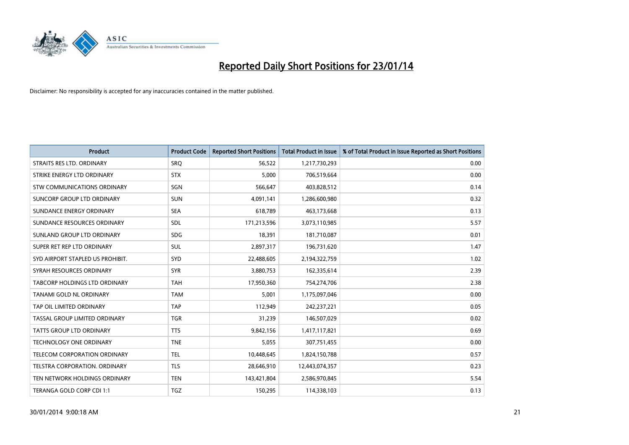

| <b>Product</b>                   | <b>Product Code</b> | <b>Reported Short Positions</b> | <b>Total Product in Issue</b> | % of Total Product in Issue Reported as Short Positions |
|----------------------------------|---------------------|---------------------------------|-------------------------------|---------------------------------------------------------|
| STRAITS RES LTD. ORDINARY        | SRO                 | 56,522                          | 1,217,730,293                 | 0.00                                                    |
| STRIKE ENERGY LTD ORDINARY       | <b>STX</b>          | 5,000                           | 706,519,664                   | 0.00                                                    |
| STW COMMUNICATIONS ORDINARY      | SGN                 | 566,647                         | 403,828,512                   | 0.14                                                    |
| SUNCORP GROUP LTD ORDINARY       | <b>SUN</b>          | 4,091,141                       | 1,286,600,980                 | 0.32                                                    |
| SUNDANCE ENERGY ORDINARY         | <b>SEA</b>          | 618,789                         | 463,173,668                   | 0.13                                                    |
| SUNDANCE RESOURCES ORDINARY      | SDL                 | 171,213,596                     | 3,073,110,985                 | 5.57                                                    |
| SUNLAND GROUP LTD ORDINARY       | <b>SDG</b>          | 18,391                          | 181,710,087                   | 0.01                                                    |
| SUPER RET REP LTD ORDINARY       | SUL                 | 2,897,317                       | 196,731,620                   | 1.47                                                    |
| SYD AIRPORT STAPLED US PROHIBIT. | SYD                 | 22,488,605                      | 2,194,322,759                 | 1.02                                                    |
| SYRAH RESOURCES ORDINARY         | <b>SYR</b>          | 3,880,753                       | 162,335,614                   | 2.39                                                    |
| TABCORP HOLDINGS LTD ORDINARY    | <b>TAH</b>          | 17,950,360                      | 754,274,706                   | 2.38                                                    |
| TANAMI GOLD NL ORDINARY          | <b>TAM</b>          | 5,001                           | 1,175,097,046                 | 0.00                                                    |
| TAP OIL LIMITED ORDINARY         | <b>TAP</b>          | 112,949                         | 242,237,221                   | 0.05                                                    |
| TASSAL GROUP LIMITED ORDINARY    | <b>TGR</b>          | 31,239                          | 146,507,029                   | 0.02                                                    |
| TATTS GROUP LTD ORDINARY         | <b>TTS</b>          | 9,842,156                       | 1,417,117,821                 | 0.69                                                    |
| TECHNOLOGY ONE ORDINARY          | <b>TNE</b>          | 5,055                           | 307,751,455                   | 0.00                                                    |
| TELECOM CORPORATION ORDINARY     | <b>TEL</b>          | 10,448,645                      | 1,824,150,788                 | 0.57                                                    |
| TELSTRA CORPORATION. ORDINARY    | <b>TLS</b>          | 28,646,910                      | 12,443,074,357                | 0.23                                                    |
| TEN NETWORK HOLDINGS ORDINARY    | <b>TEN</b>          | 143,421,804                     | 2,586,970,845                 | 5.54                                                    |
| TERANGA GOLD CORP CDI 1:1        | <b>TGZ</b>          | 150,295                         | 114,338,103                   | 0.13                                                    |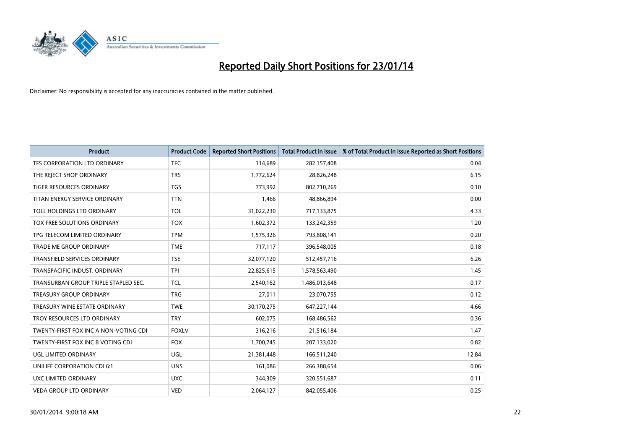

| <b>Product</b>                        | <b>Product Code</b> | <b>Reported Short Positions</b> | <b>Total Product in Issue</b> | % of Total Product in Issue Reported as Short Positions |
|---------------------------------------|---------------------|---------------------------------|-------------------------------|---------------------------------------------------------|
| TFS CORPORATION LTD ORDINARY          | <b>TFC</b>          | 114,689                         | 282,157,408                   | 0.04                                                    |
| THE REJECT SHOP ORDINARY              | <b>TRS</b>          | 1,772,624                       | 28,826,248                    | 6.15                                                    |
| <b>TIGER RESOURCES ORDINARY</b>       | <b>TGS</b>          | 773,992                         | 802,710,269                   | 0.10                                                    |
| TITAN ENERGY SERVICE ORDINARY         | <b>TTN</b>          | 1,466                           | 48,866,894                    | 0.00                                                    |
| TOLL HOLDINGS LTD ORDINARY            | <b>TOL</b>          | 31,022,230                      | 717,133,875                   | 4.33                                                    |
| TOX FREE SOLUTIONS ORDINARY           | <b>TOX</b>          | 1,602,372                       | 133,242,359                   | 1.20                                                    |
| TPG TELECOM LIMITED ORDINARY          | <b>TPM</b>          | 1,575,326                       | 793,808,141                   | 0.20                                                    |
| TRADE ME GROUP ORDINARY               | <b>TME</b>          | 717,117                         | 396,548,005                   | 0.18                                                    |
| <b>TRANSFIELD SERVICES ORDINARY</b>   | <b>TSE</b>          | 32,077,120                      | 512,457,716                   | 6.26                                                    |
| TRANSPACIFIC INDUST, ORDINARY         | <b>TPI</b>          | 22,825,615                      | 1,578,563,490                 | 1.45                                                    |
| TRANSURBAN GROUP TRIPLE STAPLED SEC.  | TCL                 | 2,540,162                       | 1,486,013,648                 | 0.17                                                    |
| <b>TREASURY GROUP ORDINARY</b>        | <b>TRG</b>          | 27,011                          | 23,070,755                    | 0.12                                                    |
| TREASURY WINE ESTATE ORDINARY         | <b>TWE</b>          | 30,170,275                      | 647,227,144                   | 4.66                                                    |
| TROY RESOURCES LTD ORDINARY           | <b>TRY</b>          | 602,075                         | 168,486,562                   | 0.36                                                    |
| TWENTY-FIRST FOX INC A NON-VOTING CDI | <b>FOXLV</b>        | 316,216                         | 21,516,184                    | 1.47                                                    |
| TWENTY-FIRST FOX INC B VOTING CDI     | <b>FOX</b>          | 1,700,745                       | 207,133,020                   | 0.82                                                    |
| UGL LIMITED ORDINARY                  | UGL                 | 21,381,448                      | 166,511,240                   | 12.84                                                   |
| UNILIFE CORPORATION CDI 6:1           | <b>UNS</b>          | 161,086                         | 266,388,654                   | 0.06                                                    |
| <b>UXC LIMITED ORDINARY</b>           | <b>UXC</b>          | 344,309                         | 320,551,687                   | 0.11                                                    |
| VEDA GROUP LTD ORDINARY               | <b>VED</b>          | 2,064,127                       | 842,055,406                   | 0.25                                                    |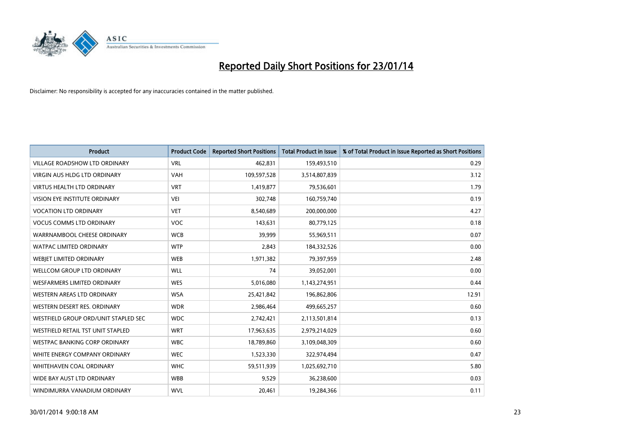

| <b>Product</b>                       | <b>Product Code</b> | <b>Reported Short Positions</b> | <b>Total Product in Issue</b> | % of Total Product in Issue Reported as Short Positions |
|--------------------------------------|---------------------|---------------------------------|-------------------------------|---------------------------------------------------------|
| <b>VILLAGE ROADSHOW LTD ORDINARY</b> | <b>VRL</b>          | 462,831                         | 159,493,510                   | 0.29                                                    |
| <b>VIRGIN AUS HLDG LTD ORDINARY</b>  | <b>VAH</b>          | 109,597,528                     | 3,514,807,839                 | 3.12                                                    |
| <b>VIRTUS HEALTH LTD ORDINARY</b>    | <b>VRT</b>          | 1,419,877                       | 79,536,601                    | 1.79                                                    |
| VISION EYE INSTITUTE ORDINARY        | VEI                 | 302,748                         | 160,759,740                   | 0.19                                                    |
| <b>VOCATION LTD ORDINARY</b>         | <b>VET</b>          | 8,540,689                       | 200,000,000                   | 4.27                                                    |
| <b>VOCUS COMMS LTD ORDINARY</b>      | <b>VOC</b>          | 143,631                         | 80,779,125                    | 0.18                                                    |
| WARRNAMBOOL CHEESE ORDINARY          | <b>WCB</b>          | 39,999                          | 55,969,511                    | 0.07                                                    |
| <b>WATPAC LIMITED ORDINARY</b>       | <b>WTP</b>          | 2,843                           | 184,332,526                   | 0.00                                                    |
| WEBIET LIMITED ORDINARY              | <b>WEB</b>          | 1,971,382                       | 79,397,959                    | 2.48                                                    |
| WELLCOM GROUP LTD ORDINARY           | <b>WLL</b>          | 74                              | 39,052,001                    | 0.00                                                    |
| <b>WESFARMERS LIMITED ORDINARY</b>   | <b>WES</b>          | 5,016,080                       | 1,143,274,951                 | 0.44                                                    |
| WESTERN AREAS LTD ORDINARY           | <b>WSA</b>          | 25,421,842                      | 196,862,806                   | 12.91                                                   |
| WESTERN DESERT RES. ORDINARY         | <b>WDR</b>          | 2,986,464                       | 499,665,257                   | 0.60                                                    |
| WESTFIELD GROUP ORD/UNIT STAPLED SEC | <b>WDC</b>          | 2,742,421                       | 2,113,501,814                 | 0.13                                                    |
| WESTFIELD RETAIL TST UNIT STAPLED    | <b>WRT</b>          | 17,963,635                      | 2,979,214,029                 | 0.60                                                    |
| <b>WESTPAC BANKING CORP ORDINARY</b> | <b>WBC</b>          | 18,789,860                      | 3,109,048,309                 | 0.60                                                    |
| WHITE ENERGY COMPANY ORDINARY        | <b>WEC</b>          | 1,523,330                       | 322,974,494                   | 0.47                                                    |
| <b>WHITEHAVEN COAL ORDINARY</b>      | <b>WHC</b>          | 59,511,939                      | 1,025,692,710                 | 5.80                                                    |
| WIDE BAY AUST LTD ORDINARY           | <b>WBB</b>          | 9,529                           | 36,238,600                    | 0.03                                                    |
| WINDIMURRA VANADIUM ORDINARY         | <b>WVL</b>          | 20,461                          | 19,284,366                    | 0.11                                                    |